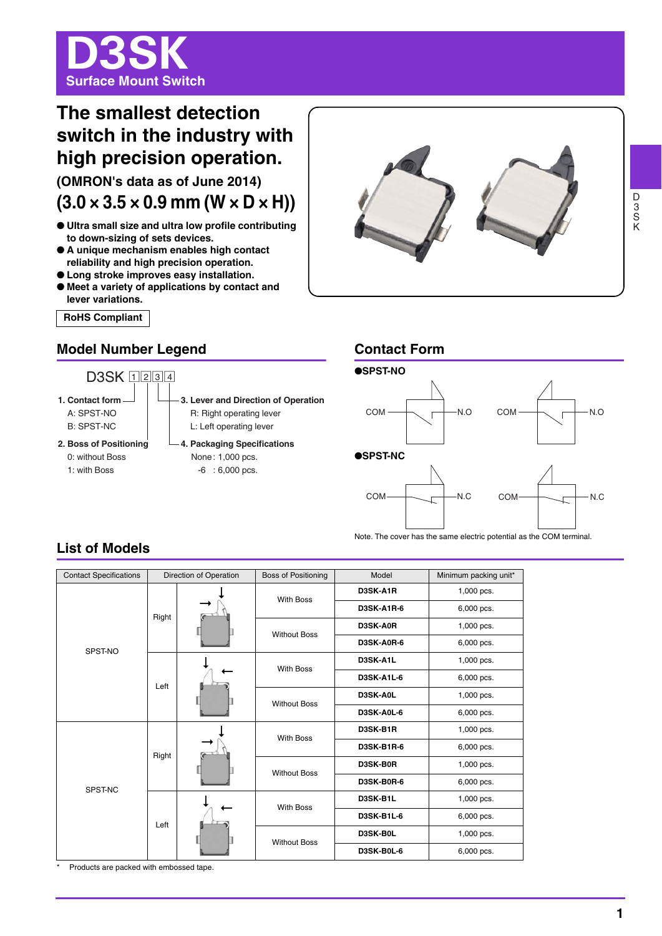

# **The smallest detection switch in the industry with high precision operation.**

**(OMRON's data as of June 2014)**  $(3.0 \times 3.5 \times 0.9 \text{ mm} (W \times D \times H))$ 

- **Ultra small size and ultra low profile contributing to down-sizing of sets devices.**
- **A unique mechanism enables high contact reliability and high precision operation.**
- **Long stroke improves easy installation.**
- **Meet a variety of applications by contact and lever variations.**

**RoHS Compliant** 

## **Model Number Legend Contact Form**





## **List of Models**

| <b>Contact Specifications</b> |       | Direction of Operation | <b>Boss of Positioning</b> | Model             | Minimum packing unit* |
|-------------------------------|-------|------------------------|----------------------------|-------------------|-----------------------|
| SPST-NO                       | Right |                        | <b>With Boss</b>           | D3SK-A1R          | 1,000 pcs.            |
|                               |       |                        |                            | <b>D3SK-A1R-6</b> | 6,000 pcs.            |
|                               |       |                        | <b>Without Boss</b>        | D3SK-A0R          | 1,000 pcs.            |
|                               |       |                        |                            | <b>D3SK-A0R-6</b> | 6,000 pcs.            |
|                               | Left  |                        | <b>With Boss</b>           | D3SK-A1L          | 1,000 pcs.            |
|                               |       |                        |                            | <b>D3SK-A1L-6</b> | 6,000 pcs.            |
|                               |       |                        | <b>Without Boss</b>        | D3SK-A0L          | 1,000 pcs.            |
|                               |       |                        |                            | D3SK-A0L-6        | 6,000 pcs.            |
| SPST-NC                       | Right |                        | <b>With Boss</b>           | D3SK-B1R          | 1,000 pcs.            |
|                               |       |                        |                            | <b>D3SK-B1R-6</b> | 6,000 pcs.            |
|                               |       |                        | <b>Without Boss</b>        | D3SK-B0R          | 1,000 pcs.            |
|                               |       |                        |                            | D3SK-B0R-6        | 6,000 pcs.            |
|                               | Left  |                        | <b>With Boss</b>           | D3SK-B1L          | 1,000 pcs.            |
|                               |       |                        |                            | <b>D3SK-B1L-6</b> | 6,000 pcs.            |
|                               |       |                        | <b>Without Boss</b>        | D3SK-B0L          | 1,000 pcs.            |
|                               |       |                        |                            | D3SK-B0L-6        | 6,000 pcs.            |

Products are packed with embossed tape.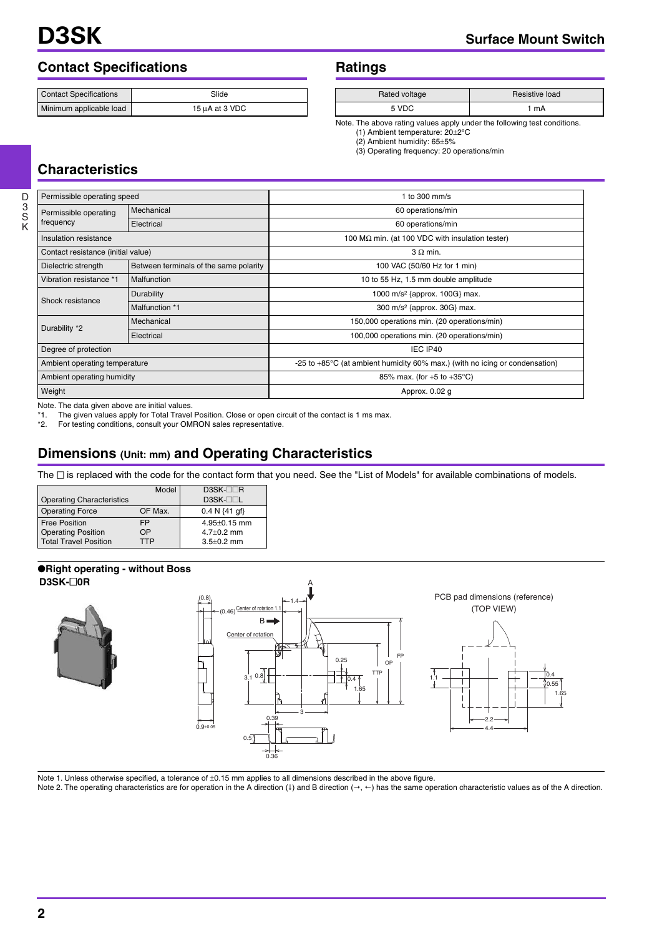# **Contact Specifications 6 and Ratings Ratings Ratings Ratings Ratings Ratings Ratings Ratings Ratings Ratings R**

| <b>Contact Specifications</b> | Slide               |  |  |
|-------------------------------|---------------------|--|--|
| Minimum applicable load       | $15 \mu A$ at 3 VDC |  |  |

| Ratings |  |
|---------|--|
|---------|--|

| Rated voltage | Resistive load |  |
|---------------|----------------|--|
| 5 VDC         | mA             |  |

Note. The above rating values apply under the following test conditions.

(1) Ambient temperature: 20±2°C (2) Ambient humidity: 65±5%

(3) Operating frequency: 20 operations/min

## **Characteristics**

| Permissible operating speed        |                                        | 1 to 300 mm/s                                                                         |  |  |
|------------------------------------|----------------------------------------|---------------------------------------------------------------------------------------|--|--|
| Permissible operating              | Mechanical                             | 60 operations/min                                                                     |  |  |
| frequency                          | Electrical                             | 60 operations/min                                                                     |  |  |
| Insulation resistance              |                                        | 100 M $\Omega$ min. (at 100 VDC with insulation tester)                               |  |  |
| Contact resistance (initial value) |                                        | $3 \Omega$ min.                                                                       |  |  |
| Dielectric strength                | Between terminals of the same polarity | 100 VAC (50/60 Hz for 1 min)                                                          |  |  |
| Vibration resistance *1            | Malfunction                            | 10 to 55 Hz, 1.5 mm double amplitude                                                  |  |  |
| Shock resistance                   | Durability                             | 1000 m/s <sup>2</sup> {approx. 100G} max.                                             |  |  |
|                                    | Malfunction *1                         | 300 m/s <sup>2</sup> {approx. 30G} max.                                               |  |  |
|                                    | Mechanical                             | 150,000 operations min. (20 operations/min)                                           |  |  |
| Durability *2                      | Electrical                             | 100,000 operations min. (20 operations/min)                                           |  |  |
| Degree of protection               |                                        | IEC IP40                                                                              |  |  |
| Ambient operating temperature      |                                        | -25 to $+85^{\circ}$ C (at ambient humidity 60% max.) (with no icing or condensation) |  |  |
| Ambient operating humidity         |                                        | 85% max. (for $+5$ to $+35^{\circ}$ C)                                                |  |  |
| Weight                             |                                        | Approx. 0.02 q                                                                        |  |  |

Note. The data given above are initial values.

\*1. The given values apply for Total Travel Position. Close or open circuit of the contact is 1 ms max.<br>\*2. For testing conditions, consult vour OMRON sales representative.

For testing conditions, consult your OMRON sales representative.

## **Dimensions (Unit: mm) and Operating Characteristics**

The  $\Box$  is replaced with the code for the contact form that you need. See the "List of Models" for available combinations of models.

| <b>Operating Characteristics</b> | Model   | $DSK-TIR$<br>D3SK-□□L     |
|----------------------------------|---------|---------------------------|
| <b>Operating Force</b>           | OF Max. | $0.4 N \{41 \text{ qf}\}$ |
| <b>Free Position</b>             | FP      | $4.95 \pm 0.15$ mm        |
| <b>Operating Position</b>        | OΡ      | $4.7 + 0.2$ mm            |
| <b>Total Travel Position</b>     | TTP     | $3.5 \pm 0.2$ mm          |

#### ●**Right operating - without Boss D3SK-**@**0R**



Note 1. Unless otherwise specified, a tolerance of  $\pm 0.15$  mm applies to all dimensions described in the above figure.

Note 2. The operating characteristics are for operation in the A direction (1) and B direction ( $\rightarrow$ ,  $\leftarrow$ ) has the same operation characteristic values as of the A direction.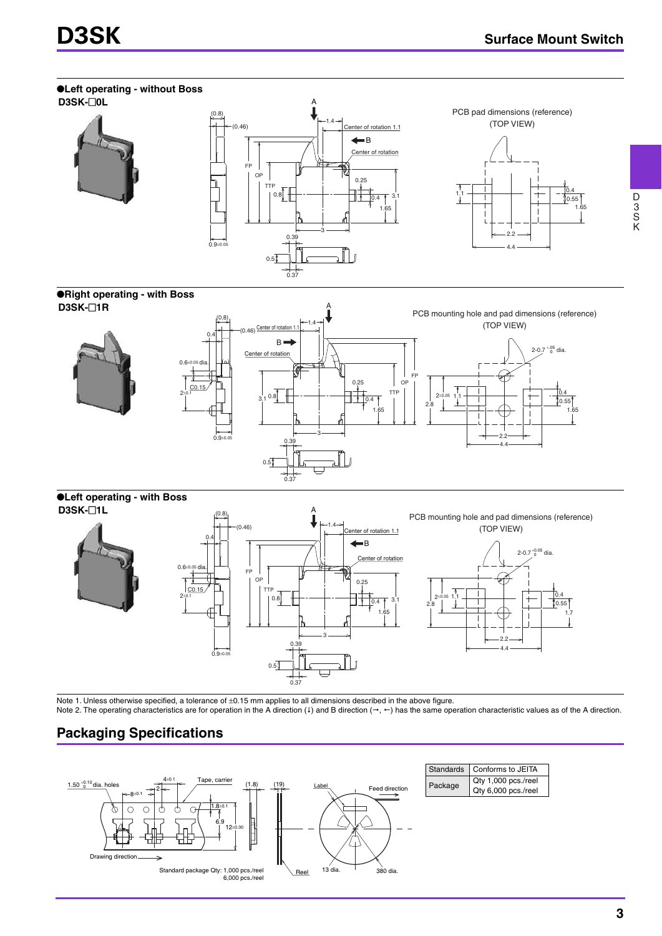

Note 1. Unless otherwise specified, a tolerance of ±0.15 mm applies to all dimensions described in the above figure.

0.37

Note 2. The operating characteristics are for operation in the A direction (4) and B direction ( $\rightarrow$ ,  $\leftarrow$ ) has the same operation characteristic values as of the A direction.

## **Packaging Specifications**

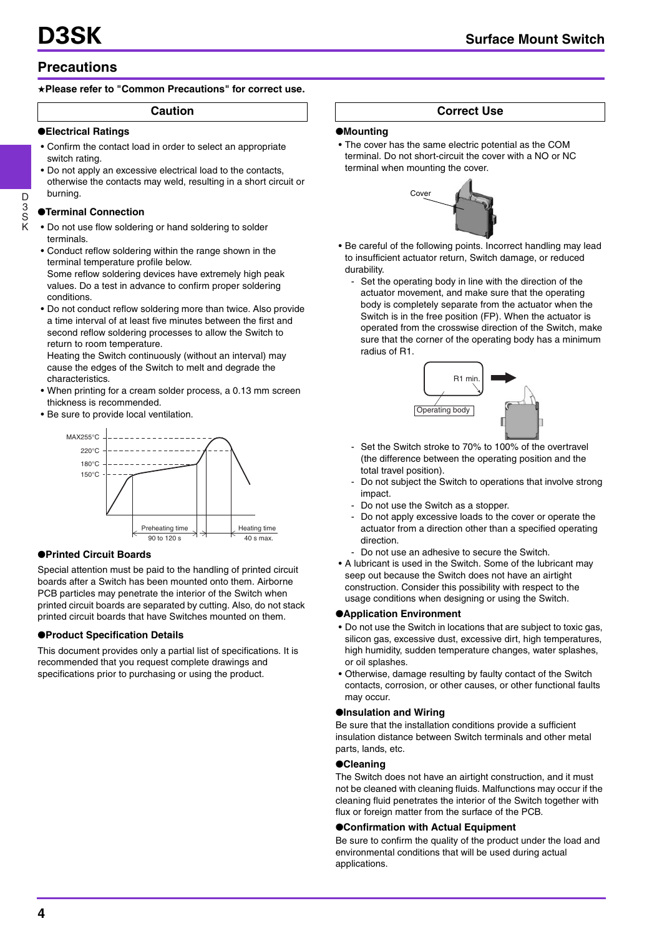## **Precautions**

#### ★**Please refer to "Common Precautions" for correct use.**

**Caution** 

#### ●**Electrical Ratings**

- Confirm the contact load in order to select an appropriate switch rating.
- Do not apply an excessive electrical load to the contacts, otherwise the contacts may weld, resulting in a short circuit or burning.

#### ●**Terminal Connection**

D 3 S K

- Do not use flow soldering or hand soldering to solder terminals.
- Conduct reflow soldering within the range shown in the terminal temperature profile below. Some reflow soldering devices have extremely high peak
	- values. Do a test in advance to confirm proper soldering conditions.
- Do not conduct reflow soldering more than twice. Also provide a time interval of at least five minutes between the first and second reflow soldering processes to allow the Switch to return to room temperature.

Heating the Switch continuously (without an interval) may cause the edges of the Switch to melt and degrade the characteristics.

- When printing for a cream solder process, a 0.13 mm screen thickness is recommended.
- Be sure to provide local ventilation.



#### ●**Printed Circuit Boards**

Special attention must be paid to the handling of printed circuit boards after a Switch has been mounted onto them. Airborne PCB particles may penetrate the interior of the Switch when printed circuit boards are separated by cutting. Also, do not stack printed circuit boards that have Switches mounted on them.

#### ●**Product Specification Details**

This document provides only a partial list of specifications. It is recommended that you request complete drawings and specifications prior to purchasing or using the product.

### **Correct Use**

#### ●**Mounting**

• The cover has the same electric potential as the COM terminal. Do not short-circuit the cover with a NO or NC terminal when mounting the cover.



- Be careful of the following points. Incorrect handling may lead to insufficient actuator return, Switch damage, or reduced durability.
	- Set the operating body in line with the direction of the actuator movement, and make sure that the operating body is completely separate from the actuator when the Switch is in the free position (FP). When the actuator is operated from the crosswise direction of the Switch, make sure that the corner of the operating body has a minimum radius of R1.



- Set the Switch stroke to 70% to 100% of the overtravel (the difference between the operating position and the total travel position).
- Do not subject the Switch to operations that involve strong impact.
- Do not use the Switch as a stopper.
- Do not apply excessive loads to the cover or operate the actuator from a direction other than a specified operating direction.
- Do not use an adhesive to secure the Switch.
- A lubricant is used in the Switch. Some of the lubricant may seep out because the Switch does not have an airtight construction. Consider this possibility with respect to the usage conditions when designing or using the Switch.

#### ●**Application Environment**

- Do not use the Switch in locations that are subject to toxic gas, silicon gas, excessive dust, excessive dirt, high temperatures, high humidity, sudden temperature changes, water splashes, or oil splashes.
- Otherwise, damage resulting by faulty contact of the Switch contacts, corrosion, or other causes, or other functional faults may occur.

#### ●**Insulation and Wiring**

Be sure that the installation conditions provide a sufficient insulation distance between Switch terminals and other metal parts, lands, etc.

### ●**Cleaning**

The Switch does not have an airtight construction, and it must not be cleaned with cleaning fluids. Malfunctions may occur if the cleaning fluid penetrates the interior of the Switch together with flux or foreign matter from the surface of the PCB.

#### ●**Confirmation with Actual Equipment**

Be sure to confirm the quality of the product under the load and environmental conditions that will be used during actual applications.